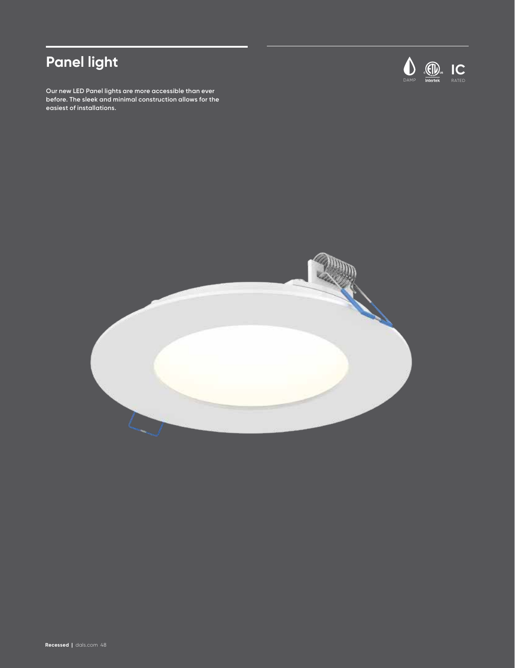# **Panel light**

**Our new LED Panel lights are more accessible than ever before. The sleek and minimal construction allows for the easiest of installations.**